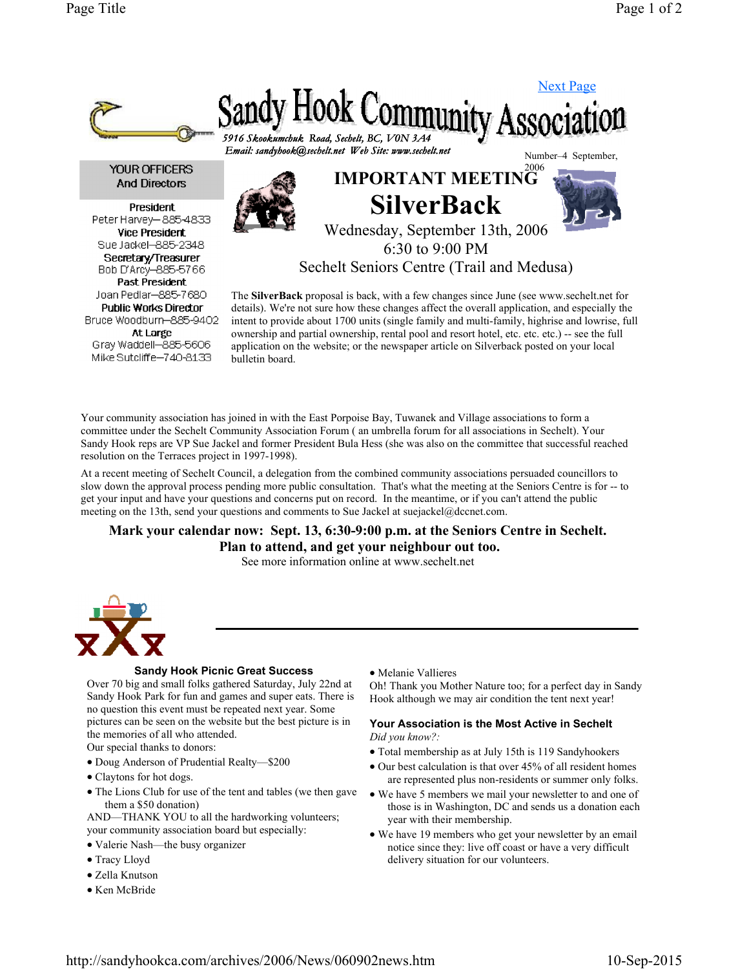

Your community association has joined in with the East Porpoise Bay, Tuwanek and Village associations to form a committee under the Sechelt Community Association Forum ( an umbrella forum for all associations in Sechelt). Your Sandy Hook reps are VP Sue Jackel and former President Bula Hess (she was also on the committee that successful reached resolution on the Terraces project in 1997-1998).

At a recent meeting of Sechelt Council, a delegation from the combined community associations persuaded councillors to slow down the approval process pending more public consultation. That's what the meeting at the Seniors Centre is for -- to get your input and have your questions and concerns put on record. In the meantime, or if you can't attend the public meeting on the 13th, send your questions and comments to Sue Jackel at suejackel@dccnet.com.

Mark your calendar now: Sept. 13, 6:30-9:00 p.m. at the Seniors Centre in Sechelt. Plan to attend, and get your neighbour out too. See more information online at www.sechelt.net



## Sandy Hook Picnic Great Success

Over 70 big and small folks gathered Saturday, July 22nd at Sandy Hook Park for fun and games and super eats. There is no question this event must be repeated next year. Some pictures can be seen on the website but the best picture is in the memories of all who attended. Our special thanks to donors:

- Doug Anderson of Prudential Realty—\$200
- Claytons for hot dogs.
- The Lions Club for use of the tent and tables (we then gave them a \$50 donation)

AND—THANK YOU to all the hardworking volunteers; your community association board but especially:

- Valerie Nash—the busy organizer
- Tracy Lloyd
- Zella Knutson
- Ken McBride

Melanie Vallieres

Oh! Thank you Mother Nature too; for a perfect day in Sandy Hook although we may air condition the tent next year!

## Your Association is the Most Active in Sechelt Did you know?:

- Total membership as at July 15th is 119 Sandyhookers
- Our best calculation is that over 45% of all resident homes are represented plus non-residents or summer only folks.
- We have 5 members we mail your newsletter to and one of those is in Washington, DC and sends us a donation each year with their membership.
- We have 19 members who get your newsletter by an email notice since they: live off coast or have a very difficult delivery situation for our volunteers.